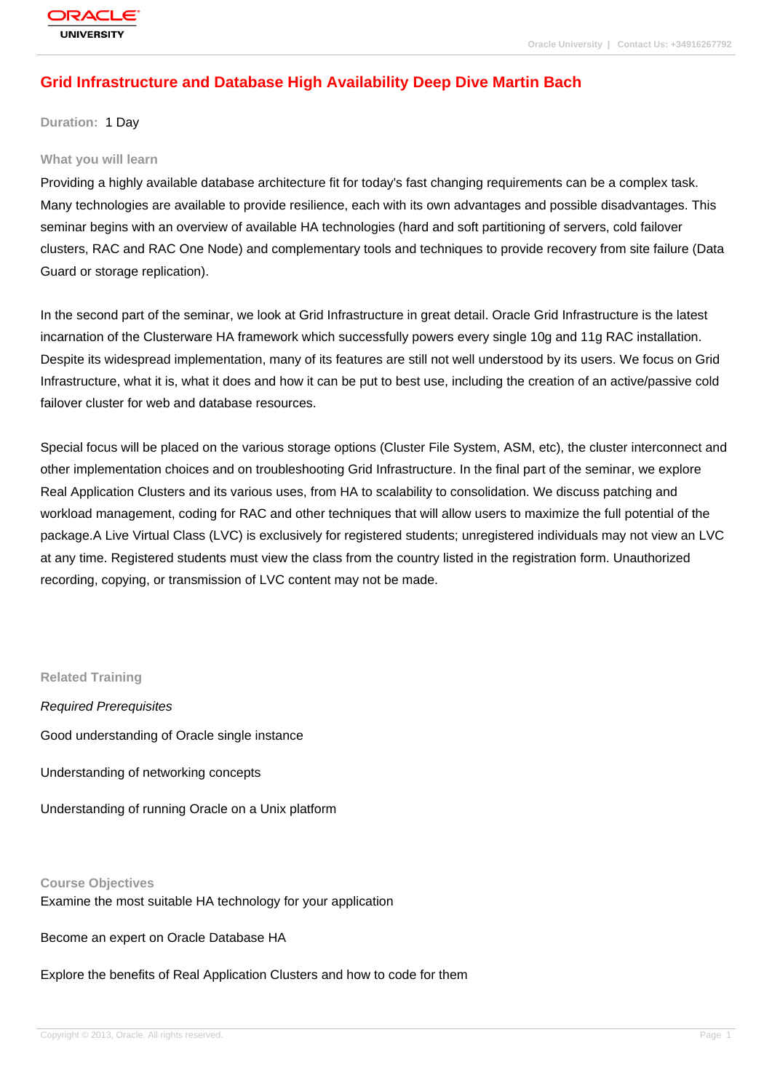## **[Grid Infrastruc](http://education.oracle.com/pls/web_prod-plq-dad/db_pages.getpage?page_id=3)ture and Database High Availability Deep Dive Martin Bach**

**Duration:** 1 Day

## **What you will learn**

Providing a highly available database architecture fit for today's fast changing requirements can be a complex task. Many technologies are available to provide resilience, each with its own advantages and possible disadvantages. This seminar begins with an overview of available HA technologies (hard and soft partitioning of servers, cold failover clusters, RAC and RAC One Node) and complementary tools and techniques to provide recovery from site failure (Data Guard or storage replication).

In the second part of the seminar, we look at Grid Infrastructure in great detail. Oracle Grid Infrastructure is the latest incarnation of the Clusterware HA framework which successfully powers every single 10g and 11g RAC installation. Despite its widespread implementation, many of its features are still not well understood by its users. We focus on Grid Infrastructure, what it is, what it does and how it can be put to best use, including the creation of an active/passive cold failover cluster for web and database resources.

Special focus will be placed on the various storage options (Cluster File System, ASM, etc), the cluster interconnect and other implementation choices and on troubleshooting Grid Infrastructure. In the final part of the seminar, we explore Real Application Clusters and its various uses, from HA to scalability to consolidation. We discuss patching and workload management, coding for RAC and other techniques that will allow users to maximize the full potential of the package.A Live Virtual Class (LVC) is exclusively for registered students; unregistered individuals may not view an LVC at any time. Registered students must view the class from the country listed in the registration form. Unauthorized recording, copying, or transmission of LVC content may not be made.

## **Related Training**

Required Prerequisites Good understanding of Oracle single instance Understanding of networking concepts

Understanding of running Oracle on a Unix platform

## **Course Objectives**

Examine the most suitable HA technology for your application

Become an expert on Oracle Database HA

Explore the benefits of Real Application Clusters and how to code for them